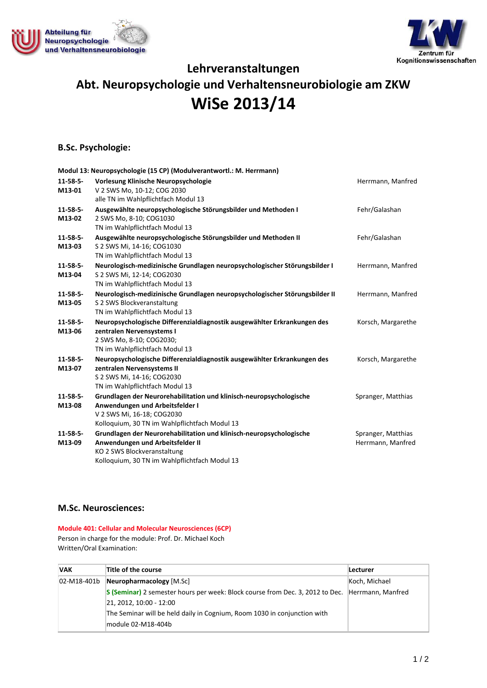



# **Lehrveranstaltungen Abt. Neuropsychologie und Verhaltensneurobiologie am ZKW WiSe 2013/14**

## **B.Sc. Psychologie:**

|                           | Modul 13: Neuropsychologie (15 CP) (Modulverantwortl.: M. Herrmann)                                                                                                                     |                                         |
|---------------------------|-----------------------------------------------------------------------------------------------------------------------------------------------------------------------------------------|-----------------------------------------|
| $11 - 58 - 5 -$<br>M13-01 | Vorlesung Klinische Neuropsychologie<br>V 2 SWS Mo, 10-12; COG 2030                                                                                                                     | Herrmann, Manfred                       |
| $11 - 58 - 5 -$<br>M13-02 | alle TN im Wahlpflichtfach Modul 13<br>Ausgewählte neuropsychologische Störungsbilder und Methoden I<br>2 SWS Mo, 8-10; COG1030<br>TN im Wahlpflichtfach Modul 13                       | Fehr/Galashan                           |
| $11 - 58 - 5 -$<br>M13-03 | Ausgewählte neuropsychologische Störungsbilder und Methoden II<br>S 2 SWS Mi, 14-16; COG1030<br>TN im Wahlpflichtfach Modul 13                                                          | Fehr/Galashan                           |
| $11 - 58 - 5 -$<br>M13-04 | Neurologisch-medizinische Grundlagen neuropsychologischer Störungsbilder I<br>S 2 SWS Mi, 12-14; COG2030<br>TN im Wahlpflichtfach Modul 13                                              | Herrmann, Manfred                       |
| $11 - 58 - 5 -$<br>M13-05 | Neurologisch-medizinische Grundlagen neuropsychologischer Störungsbilder II<br>S 2 SWS Blockveranstaltung<br>TN im Wahlpflichtfach Modul 13                                             | Herrmann, Manfred                       |
| $11 - 58 - 5 -$<br>M13-06 | Neuropsychologische Differenzialdiagnostik ausgewählter Erkrankungen des<br>zentralen Nervensystems I<br>2 SWS Mo, 8-10; COG2030;<br>TN im Wahlpflichtfach Modul 13                     | Korsch, Margarethe                      |
| $11 - 58 - 5 -$<br>M13-07 | Neuropsychologische Differenzialdiagnostik ausgewählter Erkrankungen des<br>zentralen Nervensystems II<br>S 2 SWS Mi, 14-16; COG2030<br>TN im Wahlpflichtfach Modul 13                  | Korsch, Margarethe                      |
| $11 - 58 - 5 -$<br>M13-08 | Grundlagen der Neurorehabilitation und klinisch-neuropsychologische<br>Anwendungen und Arbeitsfelder I<br>V 2 SWS Mi, 16-18; COG2030<br>Kolloquium, 30 TN im Wahlpflichtfach Modul 13   | Spranger, Matthias                      |
| $11 - 58 - 5 -$<br>M13-09 | Grundlagen der Neurorehabilitation und klinisch-neuropsychologische<br>Anwendungen und Arbeitsfelder II<br>KO 2 SWS Blockveranstaltung<br>Kolloquium, 30 TN im Wahlpflichtfach Modul 13 | Spranger, Matthias<br>Herrmann, Manfred |

#### **M.Sc. Neurosciences:**

**Module 401: Cellular and Molecular Neurosciences (6CP)** Person in charge for the module: Prof. Dr. Michael Koch Written/Oral Examination:

| <b>VAK</b> | Title of the course                                                                             | <b>Lecturer</b> |
|------------|-------------------------------------------------------------------------------------------------|-----------------|
|            | $[02-M18-401b]$ Neuropharmacology $[M.Sc]$                                                      | Koch, Michael   |
|            | S (Seminar) 2 semester hours per week: Block course from Dec. 3, 2012 to Dec. Herrmann, Manfred |                 |
|            | 21, 2012, 10:00 - 12:00                                                                         |                 |
|            | The Seminar will be held daily in Cognium, Room 1030 in conjunction with                        |                 |
|            | module 02-M18-404b                                                                              |                 |